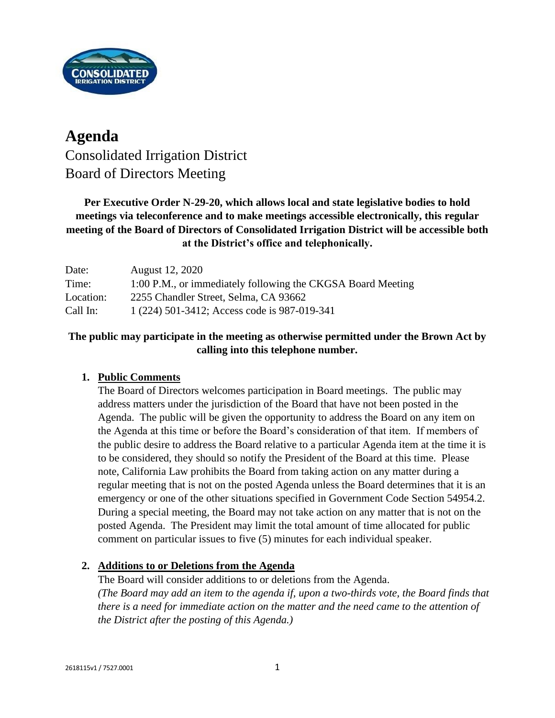

# **Agenda** Consolidated Irrigation District Board of Directors Meeting

## **Per Executive Order N-29-20, which allows local and state legislative bodies to hold meetings via teleconference and to make meetings accessible electronically, this regular meeting of the Board of Directors of Consolidated Irrigation District will be accessible both at the District's office and telephonically.**

| Date:     | August 12, 2020                                             |
|-----------|-------------------------------------------------------------|
| Time:     | 1:00 P.M., or immediately following the CKGSA Board Meeting |
| Location: | 2255 Chandler Street, Selma, CA 93662                       |
| Call In:  | 1 (224) 501-3412; Access code is 987-019-341                |

#### **The public may participate in the meeting as otherwise permitted under the Brown Act by calling into this telephone number.**

## **1. Public Comments**

The Board of Directors welcomes participation in Board meetings. The public may address matters under the jurisdiction of the Board that have not been posted in the Agenda. The public will be given the opportunity to address the Board on any item on the Agenda at this time or before the Board's consideration of that item. If members of the public desire to address the Board relative to a particular Agenda item at the time it is to be considered, they should so notify the President of the Board at this time. Please note, California Law prohibits the Board from taking action on any matter during a regular meeting that is not on the posted Agenda unless the Board determines that it is an emergency or one of the other situations specified in Government Code Section 54954.2. During a special meeting, the Board may not take action on any matter that is not on the posted Agenda. The President may limit the total amount of time allocated for public comment on particular issues to five (5) minutes for each individual speaker.

#### **2. Additions to or Deletions from the Agenda**

The Board will consider additions to or deletions from the Agenda. *(The Board may add an item to the agenda if, upon a two-thirds vote, the Board finds that there is a need for immediate action on the matter and the need came to the attention of the District after the posting of this Agenda.)*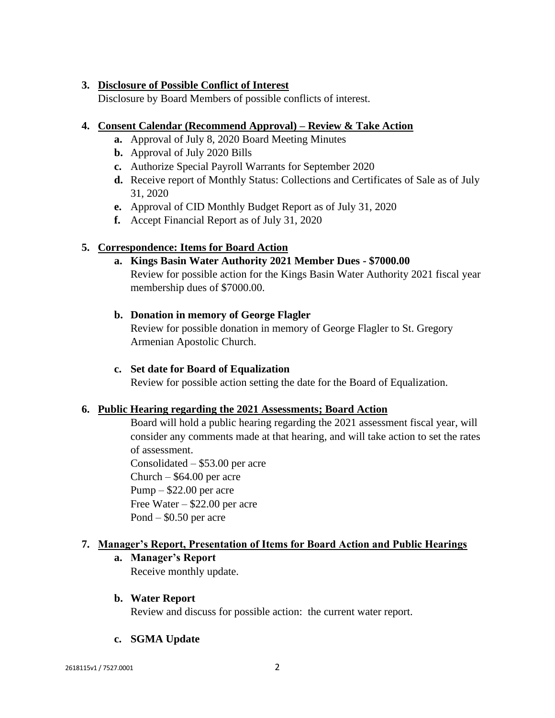#### **3. Disclosure of Possible Conflict of Interest**

Disclosure by Board Members of possible conflicts of interest.

#### **4. Consent Calendar (Recommend Approval) – Review & Take Action**

- **a.** Approval of July 8, 2020 Board Meeting Minutes
- **b.** Approval of July 2020 Bills
- **c.** Authorize Special Payroll Warrants for September 2020
- **d.** Receive report of Monthly Status: Collections and Certificates of Sale as of July 31, 2020
- **e.** Approval of CID Monthly Budget Report as of July 31, 2020
- **f.** Accept Financial Report as of July 31, 2020

### **5. Correspondence: Items for Board Action**

**a. Kings Basin Water Authority 2021 Member Dues - \$7000.00** Review for possible action for the Kings Basin Water Authority 2021 fiscal year membership dues of \$7000.00.

#### **b. Donation in memory of George Flagler**

Review for possible donation in memory of George Flagler to St. Gregory Armenian Apostolic Church.

#### **c. Set date for Board of Equalization**

Review for possible action setting the date for the Board of Equalization.

#### **6. Public Hearing regarding the 2021 Assessments; Board Action**

Board will hold a public hearing regarding the 2021 assessment fiscal year, will consider any comments made at that hearing, and will take action to set the rates of assessment.

Consolidated – \$53.00 per acre Church –  $$64.00$  per acre Pump – \$22.00 per acre Free Water – \$22.00 per acre Pond – \$0.50 per acre

#### **7. Manager's Report, Presentation of Items for Board Action and Public Hearings**

#### **a. Manager's Report**

Receive monthly update.

#### **b. Water Report**

Review and discuss for possible action: the current water report.

#### **c. SGMA Update**

2618115v1 / 7527.0001 2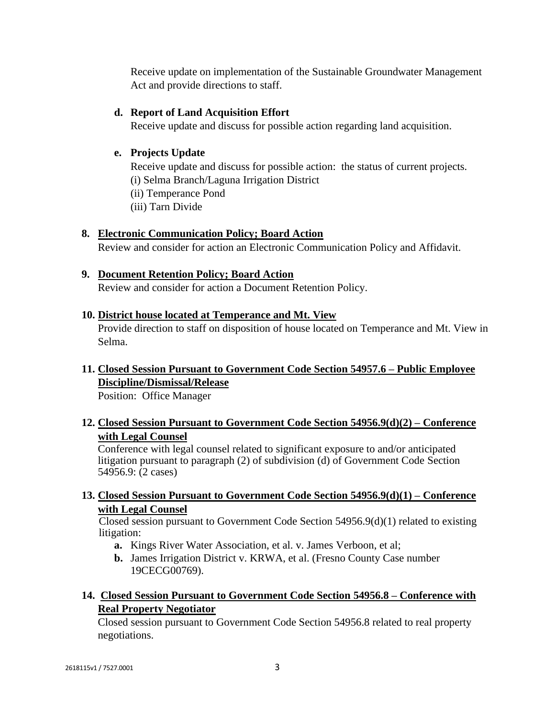Receive update on implementation of the Sustainable Groundwater Management Act and provide directions to staff.

#### **d. Report of Land Acquisition Effort**

Receive update and discuss for possible action regarding land acquisition.

#### **e. Projects Update**

Receive update and discuss for possible action: the status of current projects. (i) Selma Branch/Laguna Irrigation District

(ii) Temperance Pond

(iii) Tarn Divide

### **8. Electronic Communication Policy; Board Action**

Review and consider for action an Electronic Communication Policy and Affidavit.

### **9. Document Retention Policy; Board Action**

Review and consider for action a Document Retention Policy.

#### **10. District house located at Temperance and Mt. View**

Provide direction to staff on disposition of house located on Temperance and Mt. View in Selma.

## **11. Closed Session Pursuant to Government Code Section 54957.6 – Public Employee Discipline/Dismissal/Release**

Position: Office Manager

## **12. Closed Session Pursuant to Government Code Section 54956.9(d)(2) – Conference with Legal Counsel**

Conference with legal counsel related to significant exposure to and/or anticipated litigation pursuant to paragraph (2) of subdivision (d) of Government Code Section 54956.9: (2 cases)

#### **13. Closed Session Pursuant to Government Code Section 54956.9(d)(1) – Conference with Legal Counsel**

Closed session pursuant to Government Code Section 54956.9(d)(1) related to existing litigation:

- **a.** Kings River Water Association, et al. v. James Verboon, et al;
- **b.** James Irrigation District v. KRWA, et al. (Fresno County Case number 19CECG00769).

### **14. Closed Session Pursuant to Government Code Section 54956.8 – Conference with Real Property Negotiator**

Closed session pursuant to Government Code Section 54956.8 related to real property negotiations.